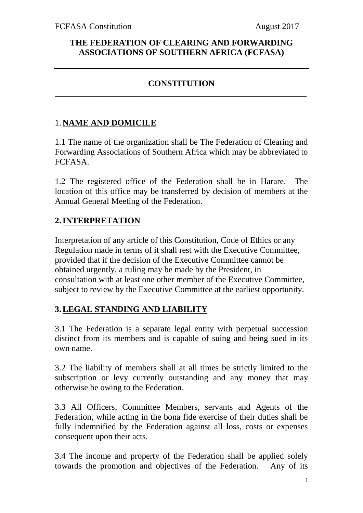## **THE FEDERATION OF CLEARING AND FORWARDING ASSOCIATIONS OF SOUTHERN AFRICA (FCFASA)**

### **CONSTITUTION \_\_\_\_\_\_\_\_\_\_\_\_\_\_\_\_\_\_\_\_\_\_\_\_\_\_\_\_\_\_\_\_\_\_\_\_\_\_\_\_\_\_\_\_\_\_\_\_\_\_\_\_\_\_\_\_\_\_\_**

# 1.**NAME AND DOMICILE**

1.1 The name of the organization shall be The Federation of Clearing and Forwarding Associations of Southern Africa which may be abbreviated to FCFASA.

1.2 The registered office of the Federation shall be in Harare. The location of this office may be transferred by decision of members at the Annual General Meeting of the Federation.

## **2.INTERPRETATION**

Interpretation of any article of this Constitution, Code of Ethics or any Regulation made in terms of it shall rest with the Executive Committee, provided that if the decision of the Executive Committee cannot be obtained urgently, a ruling may be made by the President, in consultation with at least one other member of the Executive Committee, subject to review by the Executive Committee at the earliest opportunity.

## **3.LEGAL STANDING AND LIABILITY**

3.1 The Federation is a separate legal entity with perpetual succession distinct from its members and is capable of suing and being sued in its own name.

3.2 The liability of members shall at all times be strictly limited to the subscription or levy currently outstanding and any money that may otherwise be owing to the Federation.

3.3 All Officers, Committee Members, servants and Agents of the Federation, while acting in the bona fide exercise of their duties shall be fully indemnified by the Federation against all loss, costs or expenses consequent upon their acts.

3.4 The income and property of the Federation shall be applied solely towards the promotion and objectives of the Federation. Any of its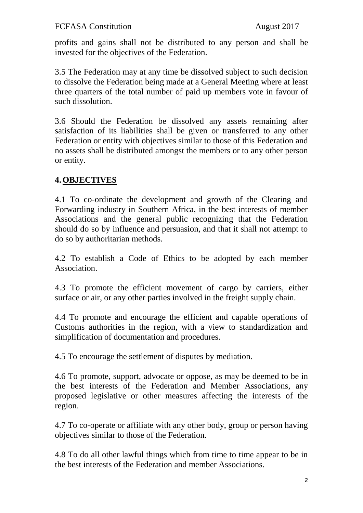profits and gains shall not be distributed to any person and shall be invested for the objectives of the Federation.

3.5 The Federation may at any time be dissolved subject to such decision to dissolve the Federation being made at a General Meeting where at least three quarters of the total number of paid up members vote in favour of such dissolution.

3.6 Should the Federation be dissolved any assets remaining after satisfaction of its liabilities shall be given or transferred to any other Federation or entity with objectives similar to those of this Federation and no assets shall be distributed amongst the members or to any other person or entity.

### **4.OBJECTIVES**

4.1 To co-ordinate the development and growth of the Clearing and Forwarding industry in Southern Africa, in the best interests of member Associations and the general public recognizing that the Federation should do so by influence and persuasion, and that it shall not attempt to do so by authoritarian methods.

4.2 To establish a Code of Ethics to be adopted by each member Association.

4.3 To promote the efficient movement of cargo by carriers, either surface or air, or any other parties involved in the freight supply chain.

4.4 To promote and encourage the efficient and capable operations of Customs authorities in the region, with a view to standardization and simplification of documentation and procedures.

4.5 To encourage the settlement of disputes by mediation.

4.6 To promote, support, advocate or oppose, as may be deemed to be in the best interests of the Federation and Member Associations, any proposed legislative or other measures affecting the interests of the region.

4.7 To co-operate or affiliate with any other body, group or person having objectives similar to those of the Federation.

4.8 To do all other lawful things which from time to time appear to be in the best interests of the Federation and member Associations.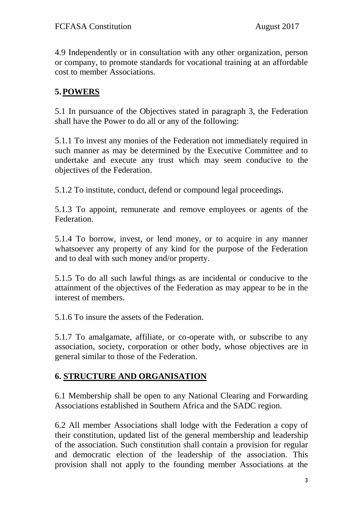4.9 Independently or in consultation with any other organization, person or company, to promote standards for vocational training at an affordable cost to member Associations.

# **5.POWERS**

5.1 In pursuance of the Objectives stated in paragraph 3, the Federation shall have the Power to do all or any of the following:

5.1.1 To invest any monies of the Federation not immediately required in such manner as may be determined by the Executive Committee and to undertake and execute any trust which may seem conducive to the objectives of the Federation.

5.1.2 To institute, conduct, defend or compound legal proceedings.

5.1.3 To appoint, remunerate and remove employees or agents of the Federation.

5.1.4 To borrow, invest, or lend money, or to acquire in any manner whatsoever any property of any kind for the purpose of the Federation and to deal with such money and/or property.

5.1.5 To do all such lawful things as are incidental or conducive to the attainment of the objectives of the Federation as may appear to be in the interest of members.

5.1.6 To insure the assets of the Federation.

5.1.7 To amalgamate, affiliate, or co-operate with, or subscribe to any association, society, corporation or other body, whose objectives are in general similar to those of the Federation.

## **6. STRUCTURE AND ORGANISATION**

6.1 Membership shall be open to any National Clearing and Forwarding Associations established in Southern Africa and the SADC region.

6.2 All member Associations shall lodge with the Federation a copy of their constitution, updated list of the general membership and leadership of the association. Such constitution shall contain a provision for regular and democratic election of the leadership of the association. This provision shall not apply to the founding member Associations at the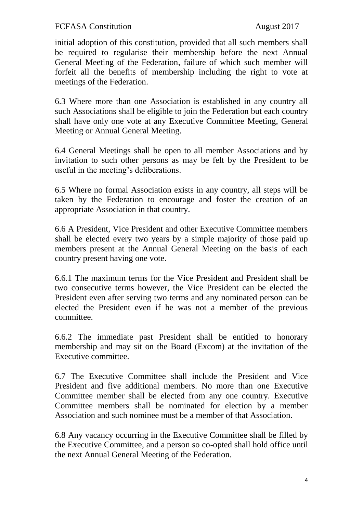initial adoption of this constitution, provided that all such members shall be required to regularise their membership before the next Annual General Meeting of the Federation, failure of which such member will forfeit all the benefits of membership including the right to vote at meetings of the Federation.

6.3 Where more than one Association is established in any country all such Associations shall be eligible to join the Federation but each country shall have only one vote at any Executive Committee Meeting, General Meeting or Annual General Meeting.

6.4 General Meetings shall be open to all member Associations and by invitation to such other persons as may be felt by the President to be useful in the meeting's deliberations.

6.5 Where no formal Association exists in any country, all steps will be taken by the Federation to encourage and foster the creation of an appropriate Association in that country.

6.6 A President, Vice President and other Executive Committee members shall be elected every two years by a simple majority of those paid up members present at the Annual General Meeting on the basis of each country present having one vote.

6.6.1 The maximum terms for the Vice President and President shall be two consecutive terms however, the Vice President can be elected the President even after serving two terms and any nominated person can be elected the President even if he was not a member of the previous committee.

6.6.2 The immediate past President shall be entitled to honorary membership and may sit on the Board (Excom) at the invitation of the Executive committee.

6.7 The Executive Committee shall include the President and Vice President and five additional members. No more than one Executive Committee member shall be elected from any one country. Executive Committee members shall be nominated for election by a member Association and such nominee must be a member of that Association.

6.8 Any vacancy occurring in the Executive Committee shall be filled by the Executive Committee, and a person so co-opted shall hold office until the next Annual General Meeting of the Federation.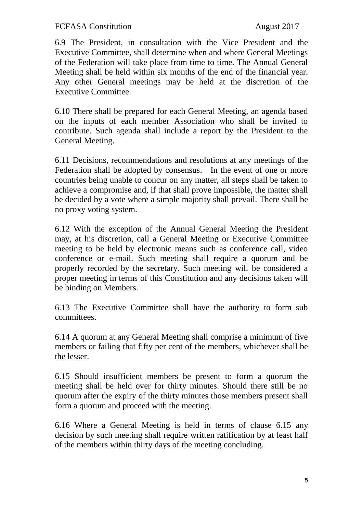6.9 The President, in consultation with the Vice President and the Executive Committee, shall determine when and where General Meetings of the Federation will take place from time to time. The Annual General Meeting shall be held within six months of the end of the financial year. Any other General meetings may be held at the discretion of the Executive Committee.

6.10 There shall be prepared for each General Meeting, an agenda based on the inputs of each member Association who shall be invited to contribute. Such agenda shall include a report by the President to the General Meeting.

6.11 Decisions, recommendations and resolutions at any meetings of the Federation shall be adopted by consensus. In the event of one or more countries being unable to concur on any matter, all steps shall be taken to achieve a compromise and, if that shall prove impossible, the matter shall be decided by a vote where a simple majority shall prevail. There shall be no proxy voting system.

6.12 With the exception of the Annual General Meeting the President may, at his discretion, call a General Meeting or Executive Committee meeting to be held by electronic means such as conference call, video conference or e-mail. Such meeting shall require a quorum and be properly recorded by the secretary. Such meeting will be considered a proper meeting in terms of this Constitution and any decisions taken will be binding on Members.

6.13 The Executive Committee shall have the authority to form sub committees.

6.14 A quorum at any General Meeting shall comprise a minimum of five members or failing that fifty per cent of the members, whichever shall be the lesser.

6.15 Should insufficient members be present to form a quorum the meeting shall be held over for thirty minutes. Should there still be no quorum after the expiry of the thirty minutes those members present shall form a quorum and proceed with the meeting.

6.16 Where a General Meeting is held in terms of clause 6.15 any decision by such meeting shall require written ratification by at least half of the members within thirty days of the meeting concluding.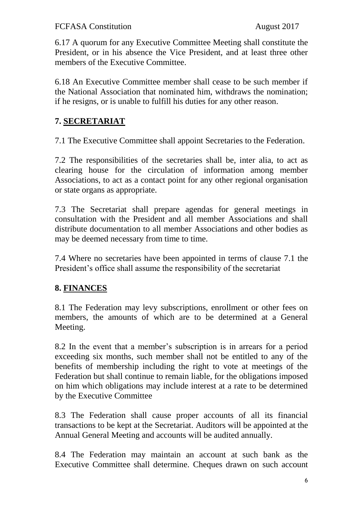6.17 A quorum for any Executive Committee Meeting shall constitute the President, or in his absence the Vice President, and at least three other members of the Executive Committee.

6.18 An Executive Committee member shall cease to be such member if the National Association that nominated him, withdraws the nomination; if he resigns, or is unable to fulfill his duties for any other reason.

## **7. SECRETARIAT**

7.1 The Executive Committee shall appoint Secretaries to the Federation.

7.2 The responsibilities of the secretaries shall be, inter alia, to act as clearing house for the circulation of information among member Associations, to act as a contact point for any other regional organisation or state organs as appropriate.

7.3 The Secretariat shall prepare agendas for general meetings in consultation with the President and all member Associations and shall distribute documentation to all member Associations and other bodies as may be deemed necessary from time to time.

7.4 Where no secretaries have been appointed in terms of clause 7.1 the President's office shall assume the responsibility of the secretariat

### **8. FINANCES**

8.1 The Federation may levy subscriptions, enrollment or other fees on members, the amounts of which are to be determined at a General Meeting.

8.2 In the event that a member's subscription is in arrears for a period exceeding six months, such member shall not be entitled to any of the benefits of membership including the right to vote at meetings of the Federation but shall continue to remain liable, for the obligations imposed on him which obligations may include interest at a rate to be determined by the Executive Committee

8.3 The Federation shall cause proper accounts of all its financial transactions to be kept at the Secretariat. Auditors will be appointed at the Annual General Meeting and accounts will be audited annually.

8.4 The Federation may maintain an account at such bank as the Executive Committee shall determine. Cheques drawn on such account